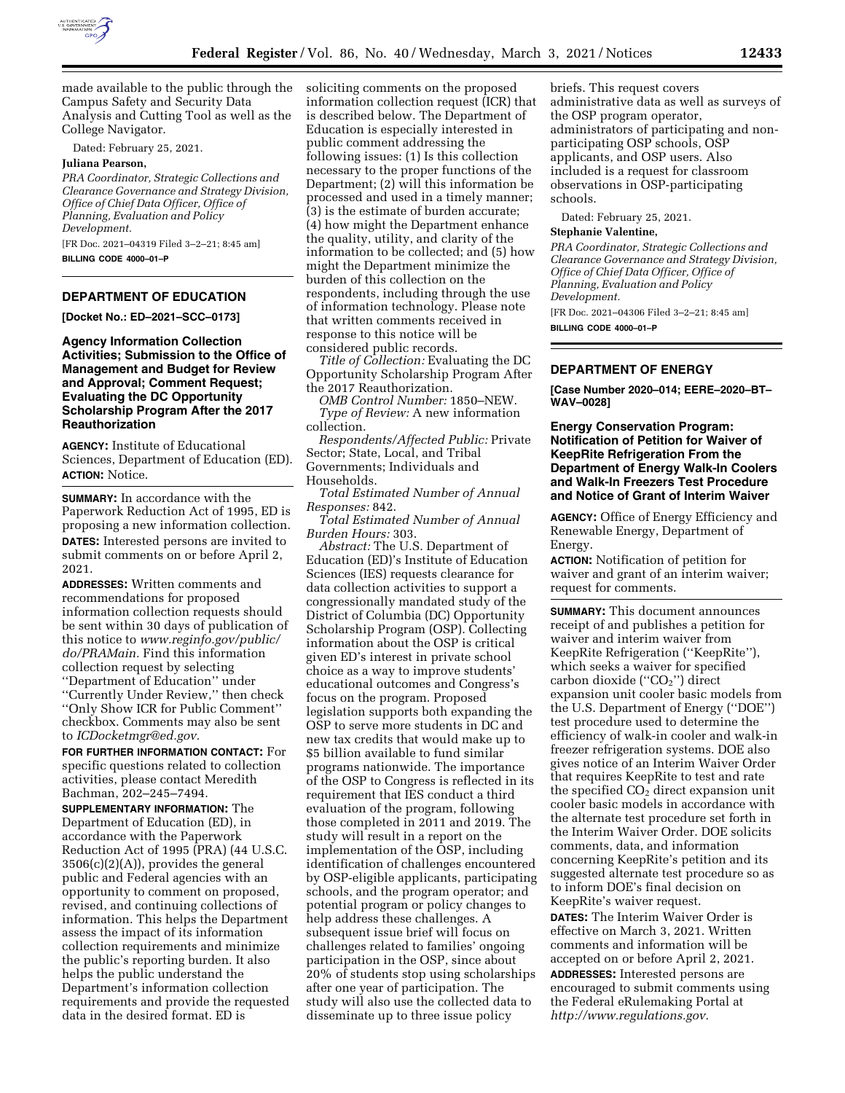

made available to the public through the Campus Safety and Security Data Analysis and Cutting Tool as well as the College Navigator.

Dated: February 25, 2021.

### **Juliana Pearson,**

*PRA Coordinator, Strategic Collections and Clearance Governance and Strategy Division, Office of Chief Data Officer, Office of Planning, Evaluation and Policy Development.* 

[FR Doc. 2021–04319 Filed 3–2–21; 8:45 am] **BILLING CODE 4000–01–P** 

## **DEPARTMENT OF EDUCATION**

**[Docket No.: ED–2021–SCC–0173]** 

# **Agency Information Collection Activities; Submission to the Office of Management and Budget for Review and Approval; Comment Request; Evaluating the DC Opportunity Scholarship Program After the 2017 Reauthorization**

**AGENCY:** Institute of Educational Sciences, Department of Education (ED). **ACTION:** Notice.

**SUMMARY:** In accordance with the Paperwork Reduction Act of 1995, ED is proposing a new information collection. **DATES:** Interested persons are invited to submit comments on or before April 2, 2021.

**ADDRESSES:** Written comments and recommendations for proposed information collection requests should be sent within 30 days of publication of this notice to *[www.reginfo.gov/public/](http://www.reginfo.gov/public/do/PRAMain) [do/PRAMain.](http://www.reginfo.gov/public/do/PRAMain)* Find this information collection request by selecting ''Department of Education'' under ''Currently Under Review,'' then check ''Only Show ICR for Public Comment'' checkbox. Comments may also be sent to *[ICDocketmgr@ed.gov.](mailto:ICDocketmgr@ed.gov)* 

**FOR FURTHER INFORMATION CONTACT:** For specific questions related to collection activities, please contact Meredith Bachman, 202–245–7494.

**SUPPLEMENTARY INFORMATION:** The Department of Education (ED), in accordance with the Paperwork Reduction Act of 1995 (PRA) (44 U.S.C. 3506(c)(2)(A)), provides the general public and Federal agencies with an opportunity to comment on proposed, revised, and continuing collections of information. This helps the Department assess the impact of its information collection requirements and minimize the public's reporting burden. It also helps the public understand the Department's information collection requirements and provide the requested data in the desired format. ED is

soliciting comments on the proposed information collection request (ICR) that is described below. The Department of Education is especially interested in public comment addressing the following issues: (1) Is this collection necessary to the proper functions of the Department; (2) will this information be processed and used in a timely manner; (3) is the estimate of burden accurate; (4) how might the Department enhance the quality, utility, and clarity of the information to be collected; and (5) how might the Department minimize the burden of this collection on the respondents, including through the use of information technology. Please note that written comments received in response to this notice will be considered public records.

*Title of Collection:* Evaluating the DC Opportunity Scholarship Program After the 2017 Reauthorization.

*OMB Control Number:* 1850–NEW. *Type of Review:* A new information collection.

*Respondents/Affected Public:* Private Sector; State, Local, and Tribal Governments; Individuals and Households.

*Total Estimated Number of Annual Responses:* 842.

*Total Estimated Number of Annual Burden Hours:* 303.

*Abstract:* The U.S. Department of Education (ED)'s Institute of Education Sciences (IES) requests clearance for data collection activities to support a congressionally mandated study of the District of Columbia (DC) Opportunity Scholarship Program (OSP). Collecting information about the OSP is critical given ED's interest in private school choice as a way to improve students' educational outcomes and Congress's focus on the program. Proposed legislation supports both expanding the OSP to serve more students in DC and new tax credits that would make up to \$5 billion available to fund similar programs nationwide. The importance of the OSP to Congress is reflected in its requirement that IES conduct a third evaluation of the program, following those completed in 2011 and 2019. The study will result in a report on the implementation of the OSP, including identification of challenges encountered by OSP-eligible applicants, participating schools, and the program operator; and potential program or policy changes to help address these challenges. A subsequent issue brief will focus on challenges related to families' ongoing participation in the OSP, since about 20% of students stop using scholarships after one year of participation. The study will also use the collected data to disseminate up to three issue policy

briefs. This request covers administrative data as well as surveys of the OSP program operator, administrators of participating and nonparticipating OSP schools, OSP applicants, and OSP users. Also included is a request for classroom observations in OSP-participating schools.

Dated: February 25, 2021.

#### **Stephanie Valentine,**

*PRA Coordinator, Strategic Collections and Clearance Governance and Strategy Division, Office of Chief Data Officer, Office of Planning, Evaluation and Policy Development.* 

[FR Doc. 2021–04306 Filed 3–2–21; 8:45 am]

**BILLING CODE 4000–01–P** 

## **DEPARTMENT OF ENERGY**

**[Case Number 2020–014; EERE–2020–BT– WAV–0028]** 

# **Energy Conservation Program: Notification of Petition for Waiver of KeepRite Refrigeration From the Department of Energy Walk-In Coolers and Walk-In Freezers Test Procedure and Notice of Grant of Interim Waiver**

**AGENCY:** Office of Energy Efficiency and Renewable Energy, Department of Energy.

**ACTION:** Notification of petition for waiver and grant of an interim waiver; request for comments.

**SUMMARY:** This document announces receipt of and publishes a petition for waiver and interim waiver from KeepRite Refrigeration (''KeepRite''), which seeks a waiver for specified carbon dioxide ("CO<sub>2</sub>") direct expansion unit cooler basic models from the U.S. Department of Energy (''DOE'') test procedure used to determine the efficiency of walk-in cooler and walk-in freezer refrigeration systems. DOE also gives notice of an Interim Waiver Order that requires KeepRite to test and rate the specified  $CO<sub>2</sub>$  direct expansion unit cooler basic models in accordance with the alternate test procedure set forth in the Interim Waiver Order. DOE solicits comments, data, and information concerning KeepRite's petition and its suggested alternate test procedure so as to inform DOE's final decision on KeepRite's waiver request.

**DATES:** The Interim Waiver Order is effective on March 3, 2021. Written comments and information will be accepted on or before April 2, 2021. **ADDRESSES:** Interested persons are encouraged to submit comments using the Federal eRulemaking Portal at *[http://www.regulations.gov.](http://www.regulations.gov)*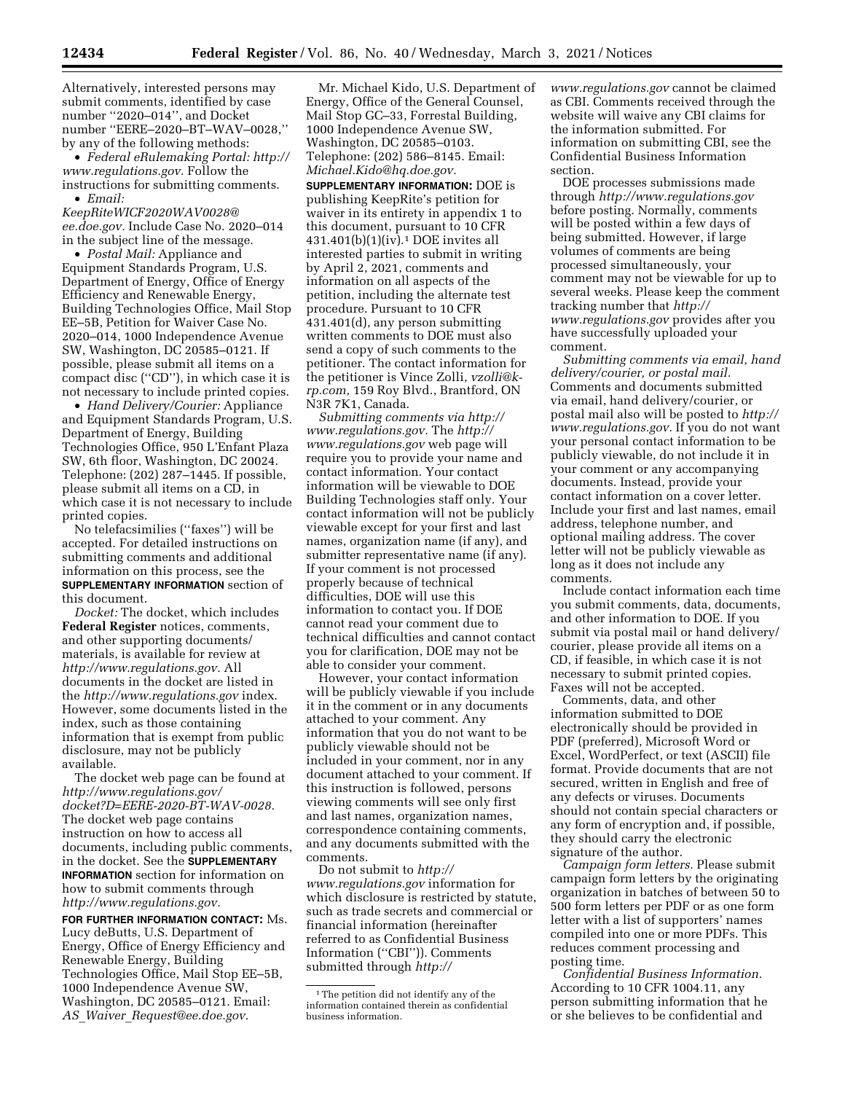Alternatively, interested persons may submit comments, identified by case number ''2020–014'', and Docket number ''EERE–2020–BT–WAV–0028,'' by any of the following methods:

• *Federal eRulemaking Portal: [http://](http://www.regulations.gov)  [www.regulations.gov.](http://www.regulations.gov)* Follow the instructions for submitting comments. • *Email:* 

*[KeepRiteWICF2020WAV0028@](mailto:KeepRiteWICF2020WAV0028@ee.doe.gov) [ee.doe.gov.](mailto:KeepRiteWICF2020WAV0028@ee.doe.gov)* Include Case No. 2020–014 in the subject line of the message.

• *Postal Mail:* Appliance and Equipment Standards Program, U.S. Department of Energy, Office of Energy Efficiency and Renewable Energy, Building Technologies Office, Mail Stop EE–5B, Petition for Waiver Case No. 2020–014, 1000 Independence Avenue SW, Washington, DC 20585–0121. If possible, please submit all items on a compact disc (''CD''), in which case it is not necessary to include printed copies.

• *Hand Delivery/Courier:* Appliance and Equipment Standards Program, U.S. Department of Energy, Building Technologies Office, 950 L'Enfant Plaza SW, 6th floor, Washington, DC 20024. Telephone: (202) 287–1445. If possible, please submit all items on a CD, in which case it is not necessary to include printed copies.

No telefacsimilies (''faxes'') will be accepted. For detailed instructions on submitting comments and additional information on this process, see the **SUPPLEMENTARY INFORMATION** section of this document.

*Docket:* The docket, which includes **Federal Register** notices, comments, and other supporting documents/ materials, is available for review at *[http://www.regulations.gov.](http://www.regulations.gov)* All documents in the docket are listed in the *<http://www.regulations.gov>*index. However, some documents listed in the index, such as those containing information that is exempt from public disclosure, may not be publicly available.

The docket web page can be found at *[http://www.regulations.gov/](http://www.regulations.gov/docket?D=EERE-2020-BT-WAV-0028)  [docket?D=EERE-2020-BT-WAV-0028.](http://www.regulations.gov/docket?D=EERE-2020-BT-WAV-0028)*  The docket web page contains instruction on how to access all documents, including public comments, in the docket. See the **SUPPLEMENTARY INFORMATION** section for information on how to submit comments through *[http://www.regulations.gov.](http://www.regulations.gov)* 

**FOR FURTHER INFORMATION CONTACT:** Ms. Lucy deButts, U.S. Department of Energy, Office of Energy Efficiency and Renewable Energy, Building Technologies Office, Mail Stop EE–5B, 1000 Independence Avenue SW, Washington, DC 20585–0121. Email: *AS*\_*Waiver*\_*[Request@ee.doe.gov.](mailto:AS_Waiver_Request@ee.doe.gov)* 

Mr. Michael Kido, U.S. Department of Energy, Office of the General Counsel, Mail Stop GC–33, Forrestal Building, 1000 Independence Avenue SW, Washington, DC 20585–0103. Telephone: (202) 586–8145. Email: *[Michael.Kido@hq.doe.gov.](mailto:Michael.Kido@hq.doe.gov)* 

**SUPPLEMENTARY INFORMATION:** DOE is publishing KeepRite's petition for waiver in its entirety in appendix 1 to this document, pursuant to 10 CFR 431.401(b)(1)(iv).1 DOE invites all interested parties to submit in writing by April 2, 2021, comments and information on all aspects of the petition, including the alternate test procedure. Pursuant to 10 CFR 431.401(d), any person submitting written comments to DOE must also send a copy of such comments to the petitioner. The contact information for the petitioner is Vince Zolli, *[vzolli@k](mailto:vzolli@k-rp.com)[rp.com,](mailto:vzolli@k-rp.com)* 159 Roy Blvd., Brantford, ON N3R 7K1, Canada.

*Submitting comments via [http://](http://www.regulations.gov) [www.regulations.gov.](http://www.regulations.gov)* The *[http://](http://www.regulations.gov) [www.regulations.gov](http://www.regulations.gov)* web page will require you to provide your name and contact information. Your contact information will be viewable to DOE Building Technologies staff only. Your contact information will not be publicly viewable except for your first and last names, organization name (if any), and submitter representative name (if any). If your comment is not processed properly because of technical difficulties, DOE will use this information to contact you. If DOE cannot read your comment due to technical difficulties and cannot contact you for clarification, DOE may not be able to consider your comment.

However, your contact information will be publicly viewable if you include it in the comment or in any documents attached to your comment. Any information that you do not want to be publicly viewable should not be included in your comment, nor in any document attached to your comment. If this instruction is followed, persons viewing comments will see only first and last names, organization names, correspondence containing comments, and any documents submitted with the comments.

Do not submit to *[http://](http://www.regulations.gov) [www.regulations.gov](http://www.regulations.gov)* information for which disclosure is restricted by statute, such as trade secrets and commercial or financial information (hereinafter referred to as Confidential Business Information (''CBI'')). Comments submitted through *[http://](http://www.regulations.gov)*

*[www.regulations.gov](http://www.regulations.gov)* cannot be claimed as CBI. Comments received through the website will waive any CBI claims for the information submitted. For information on submitting CBI, see the Confidential Business Information section.

DOE processes submissions made through *<http://www.regulations.gov>*  before posting. Normally, comments will be posted within a few days of being submitted. However, if large volumes of comments are being processed simultaneously, your comment may not be viewable for up to several weeks. Please keep the comment tracking number that *[http://](http://www.regulations.gov) [www.regulations.gov](http://www.regulations.gov)* provides after you have successfully uploaded your comment.

*Submitting comments via email, hand delivery/courier, or postal mail.*  Comments and documents submitted via email, hand delivery/courier, or postal mail also will be posted to *[http://](http://www.regulations.gov) [www.regulations.gov.](http://www.regulations.gov)* If you do not want your personal contact information to be publicly viewable, do not include it in your comment or any accompanying documents. Instead, provide your contact information on a cover letter. Include your first and last names, email address, telephone number, and optional mailing address. The cover letter will not be publicly viewable as long as it does not include any comments.

Include contact information each time you submit comments, data, documents, and other information to DOE. If you submit via postal mail or hand delivery/ courier, please provide all items on a CD, if feasible, in which case it is not necessary to submit printed copies. Faxes will not be accepted.

Comments, data, and other information submitted to DOE electronically should be provided in PDF (preferred), Microsoft Word or Excel, WordPerfect, or text (ASCII) file format. Provide documents that are not secured, written in English and free of any defects or viruses. Documents should not contain special characters or any form of encryption and, if possible, they should carry the electronic signature of the author.

*Campaign form letters.* Please submit campaign form letters by the originating organization in batches of between 50 to 500 form letters per PDF or as one form letter with a list of supporters' names compiled into one or more PDFs. This reduces comment processing and posting time.

*Confidential Business Information.*  According to 10 CFR 1004.11, any person submitting information that he or she believes to be confidential and

<sup>&</sup>lt;sup>1</sup>The petition did not identify any of the information contained therein as confidential business information.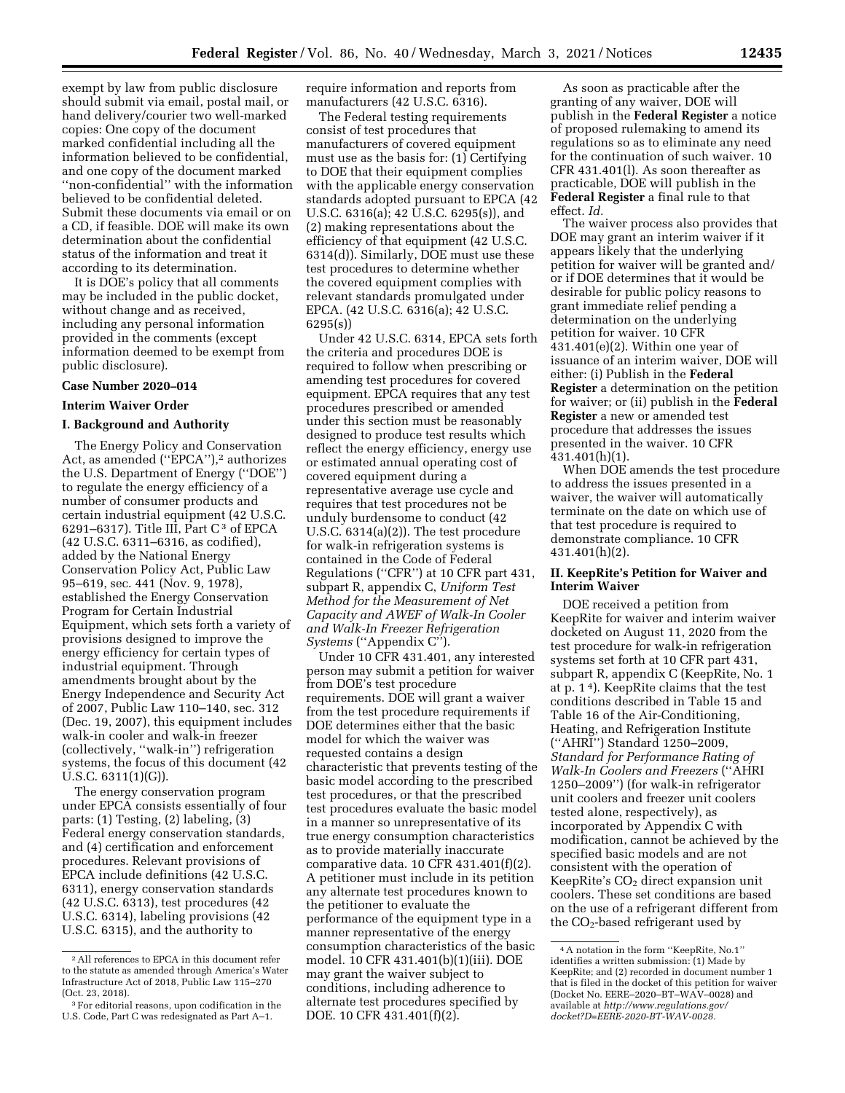exempt by law from public disclosure should submit via email, postal mail, or hand delivery/courier two well-marked copies: One copy of the document marked confidential including all the information believed to be confidential, and one copy of the document marked ''non-confidential'' with the information believed to be confidential deleted. Submit these documents via email or on a CD, if feasible. DOE will make its own determination about the confidential status of the information and treat it according to its determination.

It is DOE's policy that all comments may be included in the public docket, without change and as received, including any personal information provided in the comments (except information deemed to be exempt from public disclosure).

#### **Case Number 2020–014**

# **Interim Waiver Order**

# **I. Background and Authority**

The Energy Policy and Conservation Act, as amended ("EPCA"),<sup>2</sup> authorizes the U.S. Department of Energy (''DOE'') to regulate the energy efficiency of a number of consumer products and certain industrial equipment (42 U.S.C. 6291–6317). Title III, Part  $C^3$  of EPCA (42 U.S.C. 6311–6316, as codified), added by the National Energy Conservation Policy Act, Public Law 95–619, sec. 441 (Nov. 9, 1978), established the Energy Conservation Program for Certain Industrial Equipment, which sets forth a variety of provisions designed to improve the energy efficiency for certain types of industrial equipment. Through amendments brought about by the Energy Independence and Security Act of 2007, Public Law 110–140, sec. 312 (Dec. 19, 2007), this equipment includes walk-in cooler and walk-in freezer (collectively, ''walk-in'') refrigeration systems, the focus of this document (42 U.S.C. 6311(1)(G)).

The energy conservation program under EPCA consists essentially of four parts: (1) Testing, (2) labeling, (3) Federal energy conservation standards, and (4) certification and enforcement procedures. Relevant provisions of EPCA include definitions (42 U.S.C. 6311), energy conservation standards (42 U.S.C. 6313), test procedures (42 U.S.C. 6314), labeling provisions (42 U.S.C. 6315), and the authority to

require information and reports from manufacturers (42 U.S.C. 6316).

The Federal testing requirements consist of test procedures that manufacturers of covered equipment must use as the basis for: (1) Certifying to DOE that their equipment complies with the applicable energy conservation standards adopted pursuant to EPCA (42 U.S.C. 6316(a); 42 U.S.C. 6295(s)), and (2) making representations about the efficiency of that equipment (42 U.S.C. 6314(d)). Similarly, DOE must use these test procedures to determine whether the covered equipment complies with relevant standards promulgated under EPCA. (42 U.S.C. 6316(a); 42 U.S.C. 6295(s))

Under 42 U.S.C. 6314, EPCA sets forth the criteria and procedures DOE is required to follow when prescribing or amending test procedures for covered equipment. EPCA requires that any test procedures prescribed or amended under this section must be reasonably designed to produce test results which reflect the energy efficiency, energy use or estimated annual operating cost of covered equipment during a representative average use cycle and requires that test procedures not be unduly burdensome to conduct (42 U.S.C. 6314(a)(2)). The test procedure for walk-in refrigeration systems is contained in the Code of Federal Regulations (''CFR'') at 10 CFR part 431, subpart R, appendix C, *Uniform Test Method for the Measurement of Net Capacity and AWEF of Walk-In Cooler and Walk-In Freezer Refrigeration Systems* (''Appendix C'').

Under 10 CFR 431.401, any interested person may submit a petition for waiver from DOE's test procedure requirements. DOE will grant a waiver from the test procedure requirements if DOE determines either that the basic model for which the waiver was requested contains a design characteristic that prevents testing of the basic model according to the prescribed test procedures, or that the prescribed test procedures evaluate the basic model in a manner so unrepresentative of its true energy consumption characteristics as to provide materially inaccurate comparative data. 10 CFR 431.401(f)(2). A petitioner must include in its petition any alternate test procedures known to the petitioner to evaluate the performance of the equipment type in a manner representative of the energy consumption characteristics of the basic model. 10 CFR 431.401(b)(1)(iii). DOE may grant the waiver subject to conditions, including adherence to alternate test procedures specified by DOE. 10 CFR 431.401(f)(2).

As soon as practicable after the granting of any waiver, DOE will publish in the **Federal Register** a notice of proposed rulemaking to amend its regulations so as to eliminate any need for the continuation of such waiver. 10 CFR 431.401(l). As soon thereafter as practicable, DOE will publish in the **Federal Register** a final rule to that effect. *Id.* 

The waiver process also provides that DOE may grant an interim waiver if it appears likely that the underlying petition for waiver will be granted and/ or if DOE determines that it would be desirable for public policy reasons to grant immediate relief pending a determination on the underlying petition for waiver. 10 CFR  $431.401(e)(2)$ . Within one year of issuance of an interim waiver, DOE will either: (i) Publish in the **Federal Register** a determination on the petition for waiver; or (ii) publish in the **Federal Register** a new or amended test procedure that addresses the issues presented in the waiver. 10 CFR 431.401(h)(1).

When DOE amends the test procedure to address the issues presented in a waiver, the waiver will automatically terminate on the date on which use of that test procedure is required to demonstrate compliance. 10 CFR 431.401(h)(2).

### **II. KeepRite's Petition for Waiver and Interim Waiver**

DOE received a petition from KeepRite for waiver and interim waiver docketed on August 11, 2020 from the test procedure for walk-in refrigeration systems set forth at 10 CFR part 431, subpart R, appendix C (KeepRite, No. 1 at p. 1 4). KeepRite claims that the test conditions described in Table 15 and Table 16 of the Air-Conditioning, Heating, and Refrigeration Institute (''AHRI'') Standard 1250–2009, *Standard for Performance Rating of Walk-In Coolers and Freezers* (''AHRI 1250–2009'') (for walk-in refrigerator unit coolers and freezer unit coolers tested alone, respectively), as incorporated by Appendix C with modification, cannot be achieved by the specified basic models and are not consistent with the operation of KeepRite's CO<sub>2</sub> direct expansion unit coolers. These set conditions are based on the use of a refrigerant different from the CO2-based refrigerant used by

<sup>2</sup>All references to EPCA in this document refer to the statute as amended through America's Water Infrastructure Act of 2018, Public Law 115–270 (Oct. 23, 2018).

<sup>3</sup>For editorial reasons, upon codification in the U.S. Code, Part C was redesignated as Part A–1.

<sup>4</sup>A notation in the form ''KeepRite, No.1'' identifies a written submission: (1) Made by KeepRite; and (2) recorded in document number 1 that is filed in the docket of this petition for waiver (Docket No. EERE–2020–BT–WAV–0028) and available at *[http://www.regulations.gov/](http://www.regulations.gov/docket?D=EERE-2020-BT-WAV-0028) [docket?D=EERE-2020-BT-WAV-0028.](http://www.regulations.gov/docket?D=EERE-2020-BT-WAV-0028)*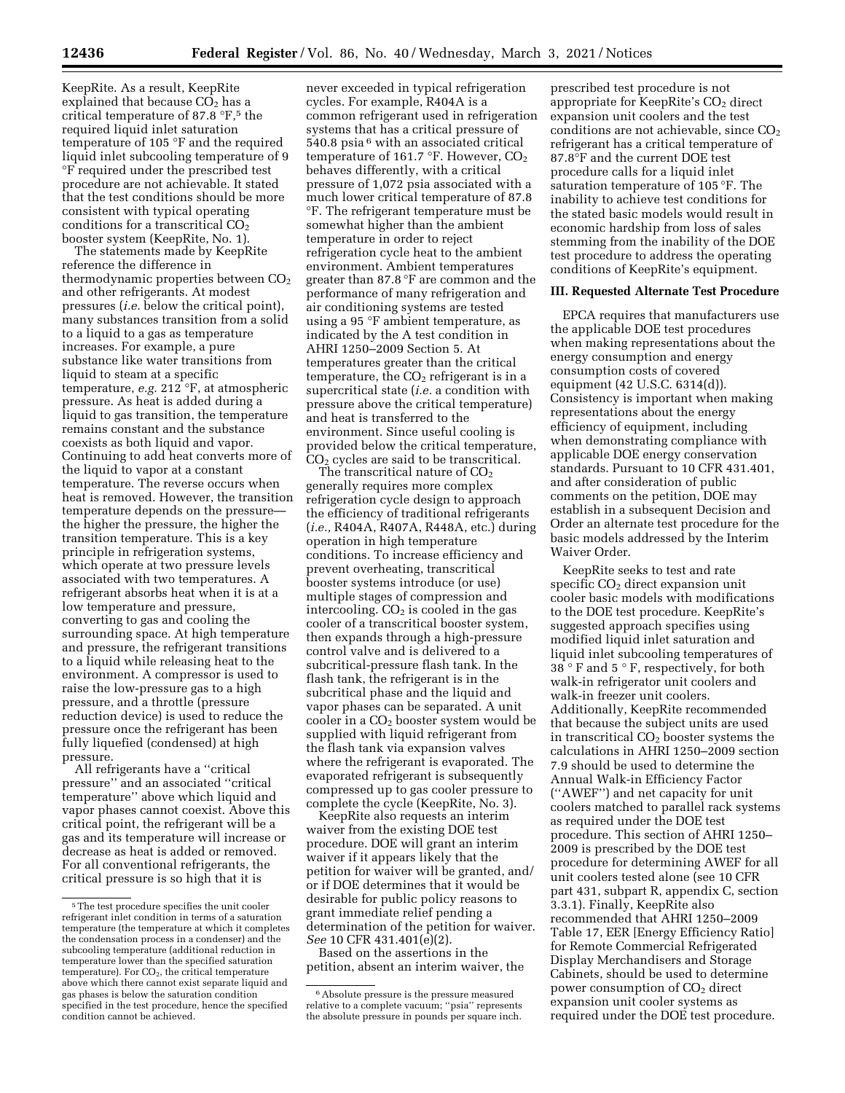KeepRite. As a result, KeepRite explained that because  $CO<sub>2</sub>$  has a critical temperature of 87.8 °F,5 the required liquid inlet saturation temperature of 105 °F and the required liquid inlet subcooling temperature of 9 °F required under the prescribed test procedure are not achievable. It stated that the test conditions should be more consistent with typical operating conditions for a transcritical CO<sub>2</sub> booster system (KeepRite, No. 1).

The statements made by KeepRite reference the difference in thermodynamic properties between  $CO<sub>2</sub>$ and other refrigerants. At modest pressures (*i.e.* below the critical point), many substances transition from a solid to a liquid to a gas as temperature increases. For example, a pure substance like water transitions from liquid to steam at a specific temperature, *e.g.* 212 °F, at atmospheric pressure. As heat is added during a liquid to gas transition, the temperature remains constant and the substance coexists as both liquid and vapor. Continuing to add heat converts more of the liquid to vapor at a constant temperature. The reverse occurs when heat is removed. However, the transition temperature depends on the pressure the higher the pressure, the higher the transition temperature. This is a key principle in refrigeration systems, which operate at two pressure levels associated with two temperatures. A refrigerant absorbs heat when it is at a low temperature and pressure, converting to gas and cooling the surrounding space. At high temperature and pressure, the refrigerant transitions to a liquid while releasing heat to the environment. A compressor is used to raise the low-pressure gas to a high pressure, and a throttle (pressure reduction device) is used to reduce the pressure once the refrigerant has been fully liquefied (condensed) at high pressure.

All refrigerants have a ''critical pressure'' and an associated ''critical temperature'' above which liquid and vapor phases cannot coexist. Above this critical point, the refrigerant will be a gas and its temperature will increase or decrease as heat is added or removed. For all conventional refrigerants, the critical pressure is so high that it is

never exceeded in typical refrigeration cycles. For example, R404A is a common refrigerant used in refrigeration systems that has a critical pressure of 540.8 psia 6 with an associated critical temperature of 161.7  $\mathrm{P}$ . However, CO<sub>2</sub> behaves differently, with a critical pressure of 1,072 psia associated with a much lower critical temperature of 87.8 °F. The refrigerant temperature must be somewhat higher than the ambient temperature in order to reject refrigeration cycle heat to the ambient environment. Ambient temperatures greater than 87.8 °F are common and the performance of many refrigeration and air conditioning systems are tested using a 95 °F ambient temperature, as indicated by the A test condition in AHRI 1250–2009 Section 5. At temperatures greater than the critical temperature, the  $CO<sub>2</sub>$  refrigerant is in a supercritical state (*i.e.* a condition with pressure above the critical temperature) and heat is transferred to the environment. Since useful cooling is provided below the critical temperature,  $CO<sub>2</sub>$  cycles are said to be transcritical.

The transcritical nature of  $CO<sub>2</sub>$ generally requires more complex refrigeration cycle design to approach the efficiency of traditional refrigerants (*i.e.,* R404A, R407A, R448A, etc.) during operation in high temperature conditions. To increase efficiency and prevent overheating, transcritical booster systems introduce (or use) multiple stages of compression and intercooling.  $CO<sub>2</sub>$  is cooled in the gas cooler of a transcritical booster system, then expands through a high-pressure control valve and is delivered to a subcritical-pressure flash tank. In the flash tank, the refrigerant is in the subcritical phase and the liquid and vapor phases can be separated. A unit cooler in a CO2 booster system would be supplied with liquid refrigerant from the flash tank via expansion valves where the refrigerant is evaporated. The evaporated refrigerant is subsequently compressed up to gas cooler pressure to complete the cycle (KeepRite, No. 3).

KeepRite also requests an interim waiver from the existing DOE test procedure. DOE will grant an interim waiver if it appears likely that the petition for waiver will be granted, and/ or if DOE determines that it would be desirable for public policy reasons to grant immediate relief pending a determination of the petition for waiver. *See* 10 CFR 431.401(e)(2).

Based on the assertions in the petition, absent an interim waiver, the

prescribed test procedure is not appropriate for KeepRite's  $CO<sub>2</sub>$  direct expansion unit coolers and the test conditions are not achievable, since  $CO<sub>2</sub>$ refrigerant has a critical temperature of 87.8°F and the current DOE test procedure calls for a liquid inlet saturation temperature of 105 °F. The inability to achieve test conditions for the stated basic models would result in economic hardship from loss of sales stemming from the inability of the DOE test procedure to address the operating conditions of KeepRite's equipment.

#### **III. Requested Alternate Test Procedure**

EPCA requires that manufacturers use the applicable DOE test procedures when making representations about the energy consumption and energy consumption costs of covered equipment (42 U.S.C. 6314(d)). Consistency is important when making representations about the energy efficiency of equipment, including when demonstrating compliance with applicable DOE energy conservation standards. Pursuant to 10 CFR 431.401, and after consideration of public comments on the petition, DOE may establish in a subsequent Decision and Order an alternate test procedure for the basic models addressed by the Interim Waiver Order.

KeepRite seeks to test and rate specific  $CO<sub>2</sub>$  direct expansion unit cooler basic models with modifications to the DOE test procedure. KeepRite's suggested approach specifies using modified liquid inlet saturation and liquid inlet subcooling temperatures of 38 ° F and 5 ° F, respectively, for both walk-in refrigerator unit coolers and walk-in freezer unit coolers. Additionally, KeepRite recommended that because the subject units are used in transcritical  $CO<sub>2</sub>$  booster systems the calculations in AHRI 1250–2009 section 7.9 should be used to determine the Annual Walk-in Efficiency Factor (''AWEF'') and net capacity for unit coolers matched to parallel rack systems as required under the DOE test procedure. This section of AHRI 1250– 2009 is prescribed by the DOE test procedure for determining AWEF for all unit coolers tested alone (see 10 CFR part 431, subpart R, appendix C, section 3.3.1). Finally, KeepRite also recommended that AHRI 1250–2009 Table 17, EER [Energy Efficiency Ratio] for Remote Commercial Refrigerated Display Merchandisers and Storage Cabinets, should be used to determine power consumption of  $CO<sub>2</sub>$  direct expansion unit cooler systems as required under the DOE test procedure.

<sup>&</sup>lt;sup>5</sup>The test procedure specifies the unit cooler refrigerant inlet condition in terms of a saturation temperature (the temperature at which it completes the condensation process in a condenser) and the subcooling temperature (additional reduction in temperature lower than the specified saturation  $temperature$ ). For  $CO<sub>2</sub>$ , the critical temperature above which there cannot exist separate liquid and gas phases is below the saturation condition specified in the test procedure, hence the specified condition cannot be achieved.

<sup>6</sup>Absolute pressure is the pressure measured relative to a complete vacuum; ''psia'' represents the absolute pressure in pounds per square inch.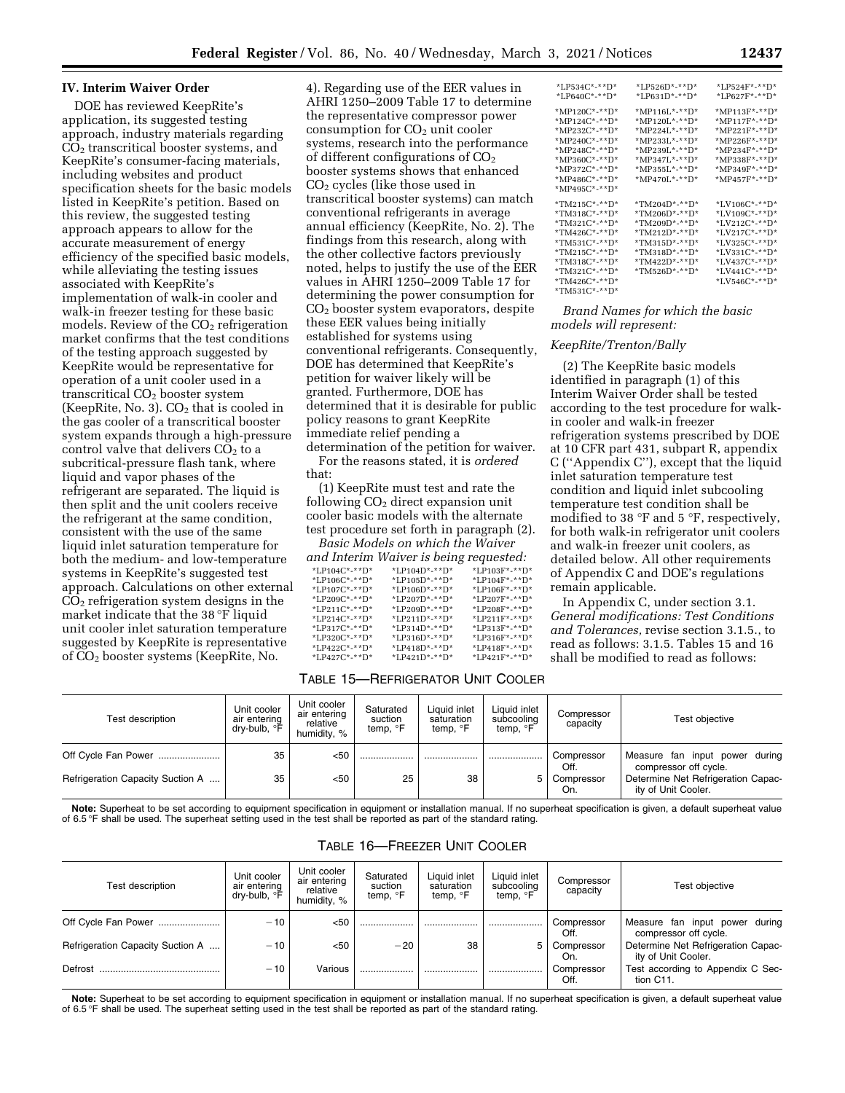#### **IV. Interim Waiver Order**

DOE has reviewed KeepRite's application, its suggested testing approach, industry materials regarding CO2 transcritical booster systems, and KeepRite's consumer-facing materials, including websites and product specification sheets for the basic models listed in KeepRite's petition. Based on this review, the suggested testing approach appears to allow for the accurate measurement of energy efficiency of the specified basic models, while alleviating the testing issues associated with KeepRite's implementation of walk-in cooler and walk-in freezer testing for these basic models. Review of the  $CO<sub>2</sub>$  refrigeration market confirms that the test conditions of the testing approach suggested by KeepRite would be representative for operation of a unit cooler used in a transcritical  $CO<sub>2</sub>$  booster system (KeepRite, No. 3).  $CO<sub>2</sub>$  that is cooled in the gas cooler of a transcritical booster system expands through a high-pressure control valve that delivers  $CO<sub>2</sub>$  to a subcritical-pressure flash tank, where liquid and vapor phases of the refrigerant are separated. The liquid is then split and the unit coolers receive the refrigerant at the same condition, consistent with the use of the same liquid inlet saturation temperature for both the medium- and low-temperature systems in KeepRite's suggested test approach. Calculations on other external  $CO<sub>2</sub>$  refrigeration system designs in the market indicate that the 38 °F liquid unit cooler inlet saturation temperature suggested by KeepRite is representative of CO2 booster systems (KeepRite, No.

4). Regarding use of the EER values in AHRI 1250–2009 Table 17 to determine the representative compressor power consumption for CO<sub>2</sub> unit cooler systems, research into the performance of different configurations of  $CO<sub>2</sub>$ booster systems shows that enhanced CO2 cycles (like those used in transcritical booster systems) can match conventional refrigerants in average annual efficiency (KeepRite, No. 2). The findings from this research, along with the other collective factors previously noted, helps to justify the use of the EER values in AHRI 1250–2009 Table 17 for determining the power consumption for CO2 booster system evaporators, despite these EER values being initially established for systems using conventional refrigerants. Consequently, DOE has determined that KeepRite's petition for waiver likely will be granted. Furthermore, DOE has determined that it is desirable for public policy reasons to grant KeepRite immediate relief pending a determination of the petition for waiver.

For the reasons stated, it is *ordered*  that:

(1) KeepRite must test and rate the following  $CO<sub>2</sub>$  direct expansion unit cooler basic models with the alternate test procedure set forth in paragraph (2).

*Basic Models on which the Waiver and Interim Waiver is being requested:* 

|               | ana mienin waiver is being requestea. |                |
|---------------|---------------------------------------|----------------|
| *LP104C*-**D* | *LP104D*-**D*                         | *LP103F*-**D*  |
| *LP106C*-**D* | *LP105D*-**D*                         | $*LP104F*-*D*$ |
| *LP107C*-**D* | $*LP106D*-*D*$                        | $*LP106F*-*D*$ |
| *LP209C*-**D* | *LP207D*-**D*                         | $*LP207F*-*T$  |
| *LP211C*-**D* | *LP209D*-**D*                         | $*LP208F*-*T$  |
| *LP214C*-**D* | $*LP211D*-*D*$                        | $*LP211F*-*T*$ |
| *LP317C*-**D* | *LP314D*-**D*                         | *LP313F*-**D*  |
| *LP320C*-**D* | *LP316D*-**D*                         | $*LP316F*-*T$  |
| *LP422C*-**D* | $*LP418D*-*D*$                        | $*LP418F*-*D*$ |
| *LP427C*-**D* | *LP421D*-**D*                         | $*LP421F*-*T$  |
|               |                                       |                |

#### TABLE 15—REFRIGERATOR UNIT COOLER

| Test description                 | Unit cooler<br>air entering<br>dry-bulb, °F | Unit cooler<br>air entering<br>relative<br>humidity, % | Saturated<br>suction<br>temp, <sup>o</sup> F | Liquid inlet<br>saturation<br>temp, <sup>o</sup> F | Liauid inlet<br>subcooling<br>temp, ${}^{\circ}$ F | Compressor<br>capacity | Test objective                                            |
|----------------------------------|---------------------------------------------|--------------------------------------------------------|----------------------------------------------|----------------------------------------------------|----------------------------------------------------|------------------------|-----------------------------------------------------------|
| Off Cycle Fan Power              | 35                                          | < 50                                                   |                                              |                                                    |                                                    | Compressor<br>Off.     | Measure fan input power during<br>compressor off cycle.   |
| Refrigeration Capacity Suction A | 35                                          | < 50                                                   | 25                                           | 38                                                 | 5                                                  | Compressor<br>On.      | Determine Net Refrigeration Capac-<br>ity of Unit Cooler. |

**Note:** Superheat to be set according to equipment specification in equipment or installation manual. If no superheat specification is given, a default superheat value of 6.5 °F shall be used. The superheat setting used in the test shall be reported as part of the standard rating.

| Test description                 | Unit cooler<br>air entering<br>dry-bulb, <sup>o</sup> F | Unit cooler<br>air entering<br>relative<br>humidity, % | Saturated<br>suction<br>temp, <sup>o</sup> F | Liquid inlet<br>saturation<br>temp, <sup>o</sup> F | Liquid inlet<br>subcooling<br>temp, <sup>o</sup> F | Compressor<br>capacity | Test objective                                            |
|----------------------------------|---------------------------------------------------------|--------------------------------------------------------|----------------------------------------------|----------------------------------------------------|----------------------------------------------------|------------------------|-----------------------------------------------------------|
| Off Cycle Fan Power              | $-10^{-}$                                               | < 50                                                   |                                              |                                                    |                                                    | Compressor<br>Off.     | Measure fan input power during<br>compressor off cycle.   |
| Refrigeration Capacity Suction A | $-10$                                                   | < 50                                                   | $-20$                                        | 38                                                 | 5                                                  | Compressor<br>On.      | Determine Net Refrigeration Capac-<br>ity of Unit Cooler. |
| Defrost                          | $-10$                                                   | Various                                                |                                              |                                                    |                                                    | Compressor<br>Off.     | Test according to Appendix C Sec-<br>tion C11.            |

# TABLE 16—FREEZER UNIT COOLER

Note: Superheat to be set according to equipment specification in equipment or installation manual. If no superheat specification is given, a default superheat value<br>of 6.5°F shall be used. The superheat setting used in th

| *LP534C*-**D*  | $*LP526D*-*ID*$  | *LP524F*-**D*                  |
|----------------|------------------|--------------------------------|
| *LP640C*-**D*  | *LP631D*-**D*    | *LP627F*-**D*                  |
|                |                  |                                |
| *MP120C*-**D*  | $*MP116L*-*D*$   | *MP113F*-**D*                  |
| *MP124C*-**D*  | $*MP120L$ *-**D* | *MP117F*-**D*                  |
| *MP232C*-**D*  | *MP224L*-**D*    | *MP221F*-**D*                  |
| *MP240C*-**D*  | *MP233L*-**D*    | *MP226F*-**D*                  |
| $*MP248C*-*D*$ | *MP239L*-**D*    | *MP234F*-**D*                  |
| *MP360C*-**D*  | *MP347L*-**D*    | *MP338F*-**D*                  |
| *MP372C*-**D*  | $*MP355L*-*D*$   | *MP349F*-**D*                  |
| $*MP486C*-*D*$ | *MP470L*-**D*    | *MP457F*-**D*                  |
| *MP495C*-**D*  |                  |                                |
|                |                  |                                |
| $*TM215C*-*D*$ | *TM204D*-**D*    | $*LV106C*-*D*$                 |
| $*TM318C*-*D*$ | *TM206D*-**D*    | *LV109C*-**D*                  |
| *TM321C*-**D*  | *TM209D*-**D*    | *LV212C*-**D*                  |
| *TM426C*-**D*  | *TM212D*-**D*    | *LV217C*-**D*                  |
| *TM531C*-**D*  | *TM315D*-**D*    | *LV325C*-**D*                  |
| *TM215C*-**D*  | $*TM318D*-*D*$   | *LV331C*-**D*                  |
| *TM318C*-**D*  | *TM422D*-**D*    | $*$ LV437C $*$ - $*$ $*$ D $*$ |
| *TM321C*-**D*  | *TM526D*-**D*    | *LV441C*-**D*                  |
| *TM426C*-**D*  |                  | *LV546C*-**D*                  |
| $*TM531C*-*D*$ |                  |                                |

*Brand Names for which the basic models will represent:* 

#### *KeepRite/Trenton/Bally*

(2) The KeepRite basic models identified in paragraph (1) of this Interim Waiver Order shall be tested according to the test procedure for walkin cooler and walk-in freezer refrigeration systems prescribed by DOE at 10 CFR part 431, subpart R, appendix C (''Appendix C''), except that the liquid inlet saturation temperature test condition and liquid inlet subcooling temperature test condition shall be modified to 38 °F and 5 °F, respectively, for both walk-in refrigerator unit coolers and walk-in freezer unit coolers, as detailed below. All other requirements of Appendix C and DOE's regulations remain applicable.

In Appendix C, under section 3.1. *General modifications: Test Conditions and Tolerances,* revise section 3.1.5., to read as follows: 3.1.5. Tables 15 and 16 shall be modified to read as follows: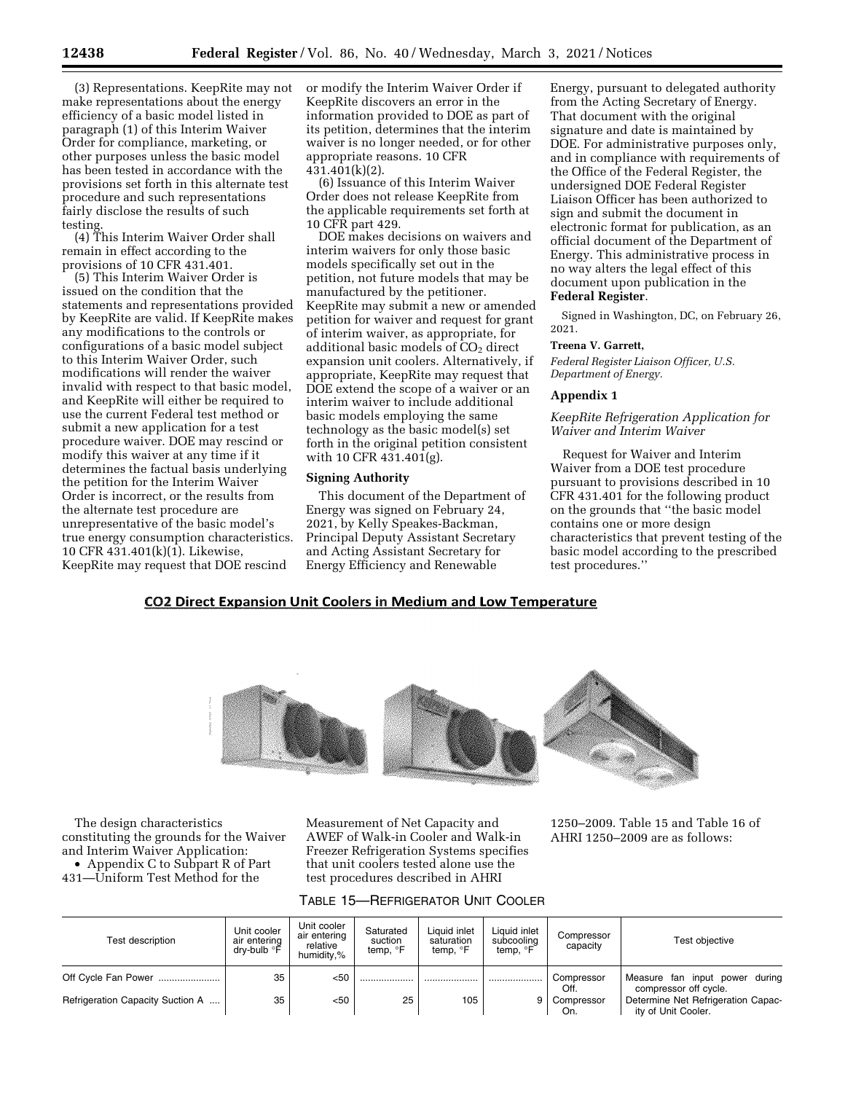(3) Representations. KeepRite may not make representations about the energy efficiency of a basic model listed in paragraph (1) of this Interim Waiver Order for compliance, marketing, or other purposes unless the basic model has been tested in accordance with the provisions set forth in this alternate test procedure and such representations fairly disclose the results of such testing.

(4) This Interim Waiver Order shall remain in effect according to the provisions of 10 CFR 431.401.

(5) This Interim Waiver Order is issued on the condition that the statements and representations provided by KeepRite are valid. If KeepRite makes any modifications to the controls or configurations of a basic model subject to this Interim Waiver Order, such modifications will render the waiver invalid with respect to that basic model, and KeepRite will either be required to use the current Federal test method or submit a new application for a test procedure waiver. DOE may rescind or modify this waiver at any time if it determines the factual basis underlying the petition for the Interim Waiver Order is incorrect, or the results from the alternate test procedure are unrepresentative of the basic model's true energy consumption characteristics. 10 CFR 431.401(k)(1). Likewise, KeepRite may request that DOE rescind

or modify the Interim Waiver Order if KeepRite discovers an error in the information provided to DOE as part of its petition, determines that the interim waiver is no longer needed, or for other appropriate reasons. 10 CFR 431.401(k)(2).

(6) Issuance of this Interim Waiver Order does not release KeepRite from the applicable requirements set forth at 10 CFR part 429.

DOE makes decisions on waivers and interim waivers for only those basic models specifically set out in the petition, not future models that may be manufactured by the petitioner. KeepRite may submit a new or amended petition for waiver and request for grant of interim waiver, as appropriate, for additional basic models of  $CO<sub>2</sub>$  direct expansion unit coolers. Alternatively, if appropriate, KeepRite may request that DOE extend the scope of a waiver or an interim waiver to include additional basic models employing the same technology as the basic model(s) set forth in the original petition consistent with 10 CFR 431.401(g).

#### **Signing Authority**

This document of the Department of Energy was signed on February 24, 2021, by Kelly Speakes-Backman, Principal Deputy Assistant Secretary and Acting Assistant Secretary for Energy Efficiency and Renewable

Energy, pursuant to delegated authority from the Acting Secretary of Energy. That document with the original signature and date is maintained by DOE. For administrative purposes only, and in compliance with requirements of the Office of the Federal Register, the undersigned DOE Federal Register Liaison Officer has been authorized to sign and submit the document in electronic format for publication, as an official document of the Department of Energy. This administrative process in no way alters the legal effect of this document upon publication in the **Federal Register**.

Signed in Washington, DC, on February 26, 2021.

#### **Treena V. Garrett,**

*Federal Register Liaison Officer, U.S. Department of Energy.* 

## **Appendix 1**

*KeepRite Refrigeration Application for Waiver and Interim Waiver* 

Request for Waiver and Interim Waiver from a DOE test procedure pursuant to provisions described in 10 CFR 431.401 for the following product on the grounds that ''the basic model contains one or more design characteristics that prevent testing of the basic model according to the prescribed test procedures.''

## **CO2 Direct Expansion Unit Coolers in Medium and Low Temperature**



The design characteristics constituting the grounds for the Waiver and Interim Waiver Application: • Appendix C to Subpart R of Part 431—Uniform Test Method for the

Measurement of Net Capacity and AWEF of Walk-in Cooler and Walk-in Freezer Refrigeration Systems specifies that unit coolers tested alone use the test procedures described in AHRI

1250–2009. Table 15 and Table 16 of AHRI 1250–2009 are as follows:

| TABLE 15—REFRIGERATOR UNIT COOLER |  |
|-----------------------------------|--|
|-----------------------------------|--|

| Test description                 | Unit cooler<br>air entering<br>drv-bulb $\degree$ F | Unit cooler<br>air entering<br>relative<br>humidity,% | Saturated<br>suction<br>temp, <sup>o</sup> F | Liquid inlet<br>saturation<br>temp, °F | Liquid inlet<br>subcooling<br>temp, <sup>o</sup> F | Compressor<br>capacity | Test objective                                             |
|----------------------------------|-----------------------------------------------------|-------------------------------------------------------|----------------------------------------------|----------------------------------------|----------------------------------------------------|------------------------|------------------------------------------------------------|
| Off Cycle Fan Power              | 35                                                  | < 50                                                  |                                              |                                        |                                                    | Compressor<br>Off.     | Measure fan input power<br>during<br>compressor off cycle. |
| Refrigeration Capacity Suction A | 35                                                  | $50$                                                  | 25                                           | 105                                    | 9                                                  | Compressor<br>On.      | Determine Net Refrigeration Capac-<br>ity of Unit Cooler.  |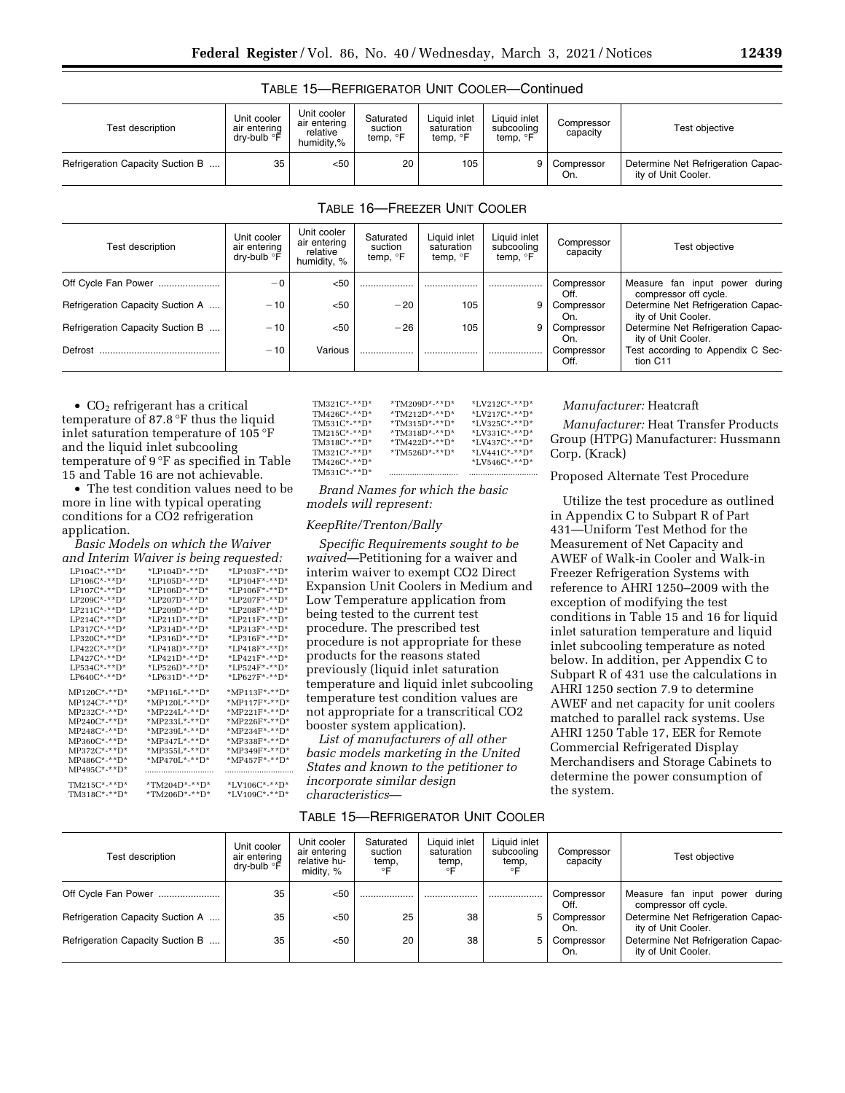| Test description                 | Unit cooler<br>air entering<br>drv-bulb °F | Unit cooler<br>air entering<br>relative<br>humidity.% | Saturated<br>suction<br>temp, °F | Liquid inlet<br>saturation<br>temp, <sup>o</sup> F | Liquid inlet<br>subcooling<br>temp, <sup>o</sup> F | Compressor<br>capacity | Test objective                                            |
|----------------------------------|--------------------------------------------|-------------------------------------------------------|----------------------------------|----------------------------------------------------|----------------------------------------------------|------------------------|-----------------------------------------------------------|
| Refrigeration Capacity Suction B | 35                                         | <50                                                   | 20                               | 105                                                |                                                    | Compressor<br>On.      | Determine Net Refrigeration Capac-<br>ity of Unit Cooler. |

# TABLE 15—REFRIGERATOR UNIT COOLER—Continued

# TABLE 16—FREEZER UNIT COOLER

| Test description                 | Unit cooler<br>air entering<br>dry-bulb <sup>o</sup> F | Unit cooler<br>air entering<br>relative<br>humidity, % | Saturated<br>suction<br>temp, <sup>o</sup> F | Liquid inlet<br>saturation<br>temp, <sup>o</sup> F | Liquid inlet<br>subcooling<br>temp, <sup>o</sup> F | Compressor<br>capacity | Test objective                                             |
|----------------------------------|--------------------------------------------------------|--------------------------------------------------------|----------------------------------------------|----------------------------------------------------|----------------------------------------------------|------------------------|------------------------------------------------------------|
| Off Cycle Fan Power              | $-0$                                                   | $50$                                                   |                                              |                                                    |                                                    | Compressor<br>Off.     | Measure fan input power<br>during<br>compressor off cycle. |
| Refrigeration Capacity Suction A | $-10$                                                  | < 50                                                   | $-20$                                        | 105                                                | 9                                                  | Compressor<br>On.      | Determine Net Refrigeration Capac-<br>ity of Unit Cooler.  |
| Refrigeration Capacity Suction B | $-10$                                                  | < 50                                                   | $-26$                                        | 105                                                | 9                                                  | Compressor<br>On.      | Determine Net Refrigeration Capac-<br>ity of Unit Cooler.  |
| Defrost                          | $-10$                                                  | Various                                                |                                              |                                                    |                                                    | Compressor<br>Off.     | Test according to Appendix C Sec-<br>tion C11              |

•  $CO<sub>2</sub>$  refrigerant has a critical temperature of 87.8 °F thus the liquid inlet saturation temperature of 105 °F and the liquid inlet subcooling temperature of 9 °F as specified in Table 15 and Table 16 are not achievable.

• The test condition values need to be more in line with typical operating conditions for a CO2 refrigeration application.

*Basic Models on which the Waiver and Interim Waiver is being requested:* 

|                         |                     | .               |
|-------------------------|---------------------|-----------------|
| $L$ P104 $C$ *-** $D$ * | $*LP104D*-*D*$      | *LP103F*-**D*   |
| LP106C*-**D*            | *LP105D*-**D*       | *LP104F*-**D*   |
| $LP107C^*$ -** $D^*$    | $*LP106D$ *-** $D*$ | *LP106F*-**D*   |
| $LP209C^*$ -** $D^*$    | *LP207D*-**D*       | *LP207F*-**D*   |
| $LP211C^*$ -** $D^*$    | *LP209D*-**D*       | *LP208F*-**D*   |
| $LP214C*-*D*$           | $*LP211D*-*ID*$     | $*LP211F*-*T$   |
| $L$ P317 $C^*$ -**D*    | *LP314D*-**D*       | *LP313F*-**D*   |
| LP320C*-**D*            | *LP316D*-**D*       | *LP316F*-**D*   |
| $LPA22C*-*T$            | $*LP418D*-*T$       | $*LP418F*-**D*$ |
| $LP427C*-*T$            | *LP421D*-**D*       | $*LP421F*-**D*$ |
| $LPS34C^*$ -**D*        | $*LP526D*-*ID*$     | *LP524F*-**D*   |
| $LPS40C^*$ -**D*        | *LP631D*-**D*       | *LP627F*-**D*   |
| $MP120C^*$ -**D*        | *MP116L*-**D*       | *MP113F*-**D*   |
| $MP124C^*$ -** $D^*$    | *MP120L*-**D*       | *MP117F*-**D*   |
| $MP232C^*$ -**D*        | *MP224L*-**D*       | *MP221F*-**D*   |
| $MP240C^*$ -** $D^*$    | *MP233L*-**D*       | *MP226F*-**D*   |
| $MP248C*-*T$            | *MP239L*-**D*       | *MP234F*-**D*   |
| MP360C*-**D*            | *MP347L*-**D*       | *MP338F*-**D*   |
| $MP372C^*$ -**D*        | $*MP355L*-*TD*$     | *MP349F*-**D*   |
| $MP486C^*$ -** $D^*$    | *MP470L*-**D*       | *MP457F*-**D*   |
| $MP495C^*$ -**D*        |                     |                 |
| $TM215C^*$ -** $D^*$    | *TM204D*-**D*       | $*LV106C*-*D*$  |
|                         |                     |                 |
| TM318C*-**D*            | *TM206D*-**D*       | *LV109C*-**D*   |

| $TM321C^*$ -**D* | *TM209D*-**D*   | *LV212C*-**D*      |
|------------------|-----------------|--------------------|
| $TM426C*-*T$     | $*TM212D*-*T$   | $*LV217C*-*T$      |
| $TM531C*-*T$     | $*TM315D*-*FD*$ | $*LV325C*-*T$      |
| $TM215C*-*T$     | $*TM318D*-*T$   | *LV331C*-**D*      |
| $TM318C^*$ -**D* | $*TM422D*-*FD*$ | $*$ LV437C*-**D*   |
| $TM321C*-*T$     | $*TM526D*-*FD*$ | *LV441 $C^*$ -**D* |
| $TM426C*-*T$     |                 | $*LV546C*-*T$      |
| $TM531C*-*T$     |                 |                    |

*Brand Names for which the basic models will represent:* 

## *KeepRite/Trenton/Bally*

*Specific Requirements sought to be waived*—Petitioning for a waiver and interim waiver to exempt CO2 Direct Expansion Unit Coolers in Medium and Low Temperature application from being tested to the current test procedure. The prescribed test procedure is not appropriate for these products for the reasons stated previously (liquid inlet saturation temperature and liquid inlet subcooling temperature test condition values are not appropriate for a transcritical CO2 booster system application).

*List of manufacturers of all other basic models marketing in the United States and known to the petitioner to incorporate similar design characteristics*—

#### TABLE 15—REFRIGERATOR UNIT COOLER

## *Manufacturer:* Heatcraft

*Manufacturer:* Heat Transfer Products Group (HTPG) Manufacturer: Hussmann Corp. (Krack)

Proposed Alternate Test Procedure

Utilize the test procedure as outlined in Appendix C to Subpart R of Part 431—Uniform Test Method for the Measurement of Net Capacity and AWEF of Walk-in Cooler and Walk-in Freezer Refrigeration Systems with reference to AHRI 1250–2009 with the exception of modifying the test conditions in Table 15 and 16 for liquid inlet saturation temperature and liquid inlet subcooling temperature as noted below. In addition, per Appendix C to Subpart R of 431 use the calculations in AHRI 1250 section 7.9 to determine AWEF and net capacity for unit coolers matched to parallel rack systems. Use AHRI 1250 Table 17, EER for Remote Commercial Refrigerated Display Merchandisers and Storage Cabinets to determine the power consumption of the system.

| Test description                 | Unit cooler<br>air entering<br>dry-bulb °F | Unit cooler<br>air entering<br>relative hu-<br>midity, $%$ | Saturated<br>suction<br>temp, | Liquid inlet<br>saturation<br>temp,<br>∘⊏ | Liquid inlet<br>subcooling<br>temp, | Compressor<br>capacity | Test objective                                            |
|----------------------------------|--------------------------------------------|------------------------------------------------------------|-------------------------------|-------------------------------------------|-------------------------------------|------------------------|-----------------------------------------------------------|
| Off Cycle Fan Power              | 35                                         | < 50                                                       | .                             |                                           |                                     | Compressor<br>Off.     | Measure fan input power during<br>compressor off cycle.   |
| Refrigeration Capacity Suction A | 35                                         | $50$                                                       | 25                            | 38                                        | 5                                   | Compressor<br>On.      | Determine Net Refrigeration Capac-<br>ity of Unit Cooler. |
| Refrigeration Capacity Suction B | 35                                         | < 50                                                       | 20                            | 38                                        | 5                                   | Compressor<br>On.      | Determine Net Refrigeration Capac-<br>ity of Unit Cooler. |